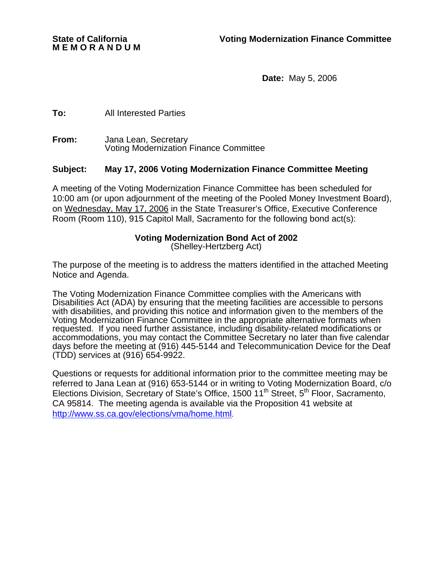**M E M O R A N D U M** 

**Date:** May 5, 2006

**To:** All Interested Parties

**From:** Jana Lean, Secretary Voting Modernization Finance Committee

## **Subject: May 17, 2006 Voting Modernization Finance Committee Meeting**

A meeting of the Voting Modernization Finance Committee has been scheduled for 10:00 am (or upon adjournment of the meeting of the Pooled Money Investment Board), on Wednesday, May 17, 2006 in the State Treasurer's Office, Executive Conference Room (Room 110), 915 Capitol Mall, Sacramento for the following bond act(s):

## **Voting Modernization Bond Act of 2002**

(Shelley-Hertzberg Act)

The purpose of the meeting is to address the matters identified in the attached Meeting Notice and Agenda.

The Voting Modernization Finance Committee complies with the Americans with Disabilities Act (ADA) by ensuring that the meeting facilities are accessible to persons with disabilities, and providing this notice and information given to the members of the Voting Modernization Finance Committee in the appropriate alternative formats when requested. If you need further assistance, including disability-related modifications or accommodations, you may contact the Committee Secretary no later than five calendar days before the meeting at (916) 445-5144 and Telecommunication Device for the Deaf (TDD) services at (916) 654-9922.

Questions or requests for additional information prior to the committee meeting may be referred to Jana Lean at (916) 653-5144 or in writing to Voting Modernization Board, c/o Elections Division, Secretary of State's Office, 1500 11<sup>th</sup> Street, 5<sup>th</sup> Floor, Sacramento, CA 95814. The meeting agenda is available via the Proposition 41 website at http://www.ss.ca.gov/elections/vma/home.html.